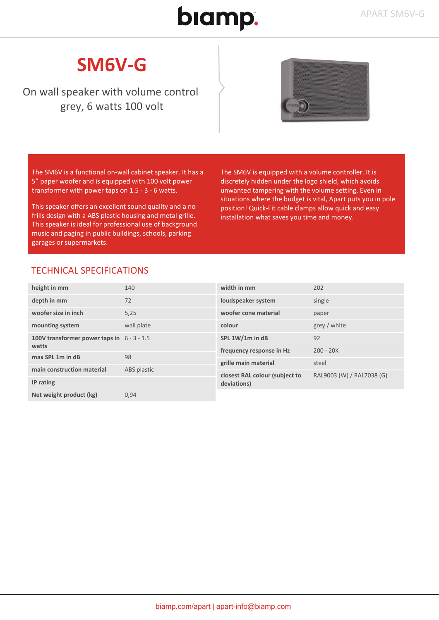## biamp.

### **SM6V-G**

On wall speaker with volume control grey, 6 watts 100 volt



The SM6V is a functional on-wall cabinet speaker. It has a 5" paper woofer and is equipped with 100 volt power transformer with power taps on 1.5 - 3 - 6 watts.

This speaker offers an excellent sound quality and a nofrills design with a ABS plastic housing and metal grille. This speaker is ideal for professional use of background music and paging in public buildings, schools, parking garages or supermarkets.

The SM6V is equipped with a volume controller. It is discretely hidden under the logo shield, which avoids unwanted tampering with the volume setting. Even in situations where the budget is vital, Apart puts you in pole position! Quick-Fit cable clamps allow quick and easy installation what saves you time and money.

#### TECHNICAL SPECIFICATIONS

| height in mm                                          | 140         | width in mm                                   | 202                       |
|-------------------------------------------------------|-------------|-----------------------------------------------|---------------------------|
| depth in mm                                           | 72          | loudspeaker system                            | single                    |
| woofer size in inch                                   | 5,25        | woofer cone material                          | paper                     |
| mounting system                                       | wall plate  | colour                                        | grey / white              |
| 100V transformer power taps in $6 - 3 - 1.5$<br>watts |             | SPL 1W/1m in dB                               | 92                        |
|                                                       |             | frequency response in Hz                      | $200 - 20K$               |
| max SPL 1m in dB                                      | 98          |                                               |                           |
|                                                       |             | grille main material                          | steel                     |
| main construction material                            | ABS plastic | closest RAL colour (subject to<br>deviations) | RAL9003 (W) / RAL7038 (G) |
| IP rating                                             |             |                                               |                           |
| Net weight product (kg)                               | 0,94        |                                               |                           |